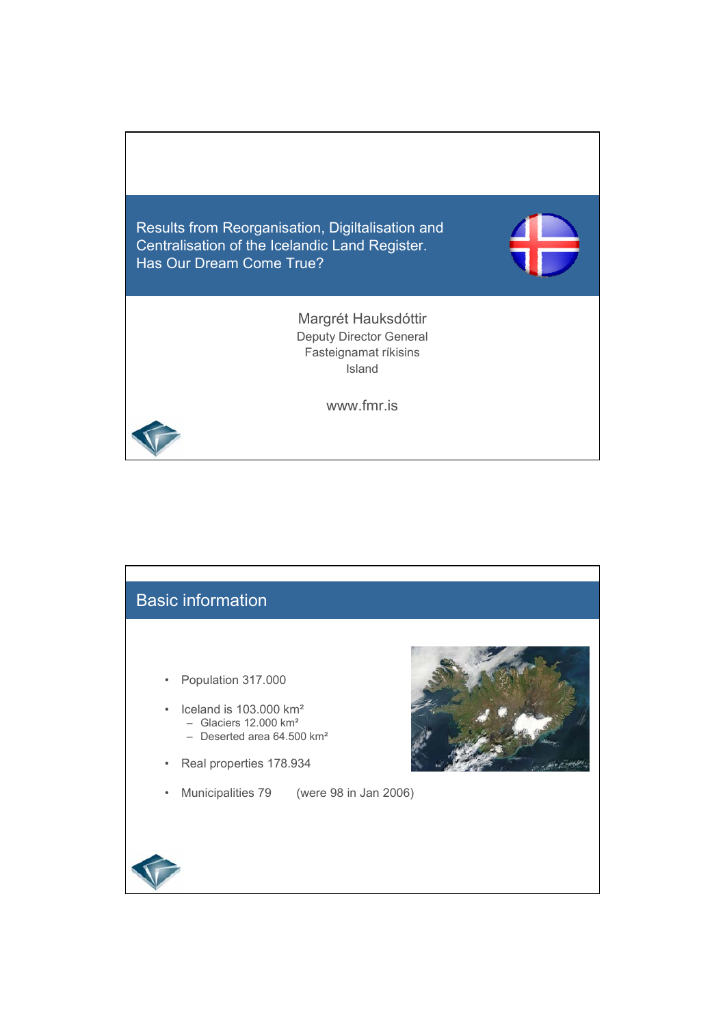

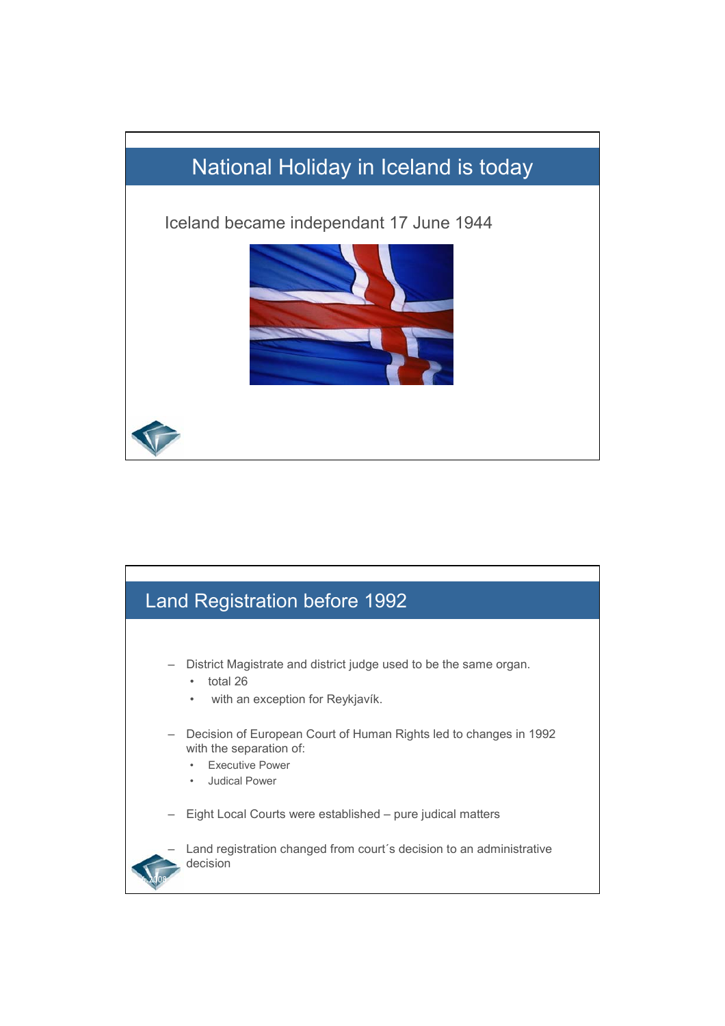

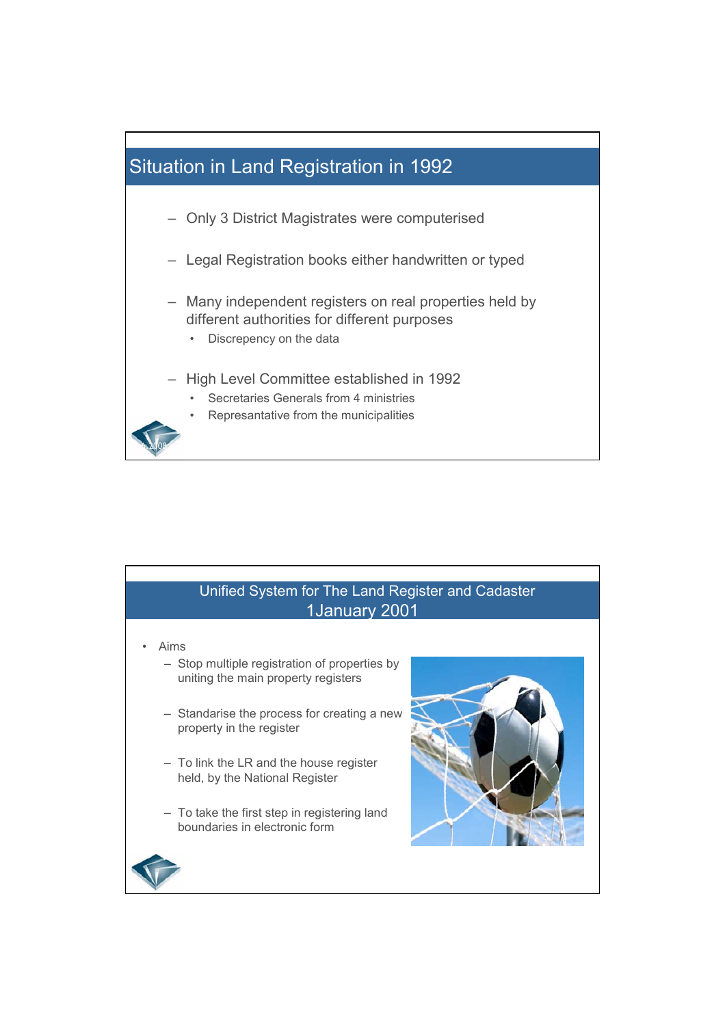

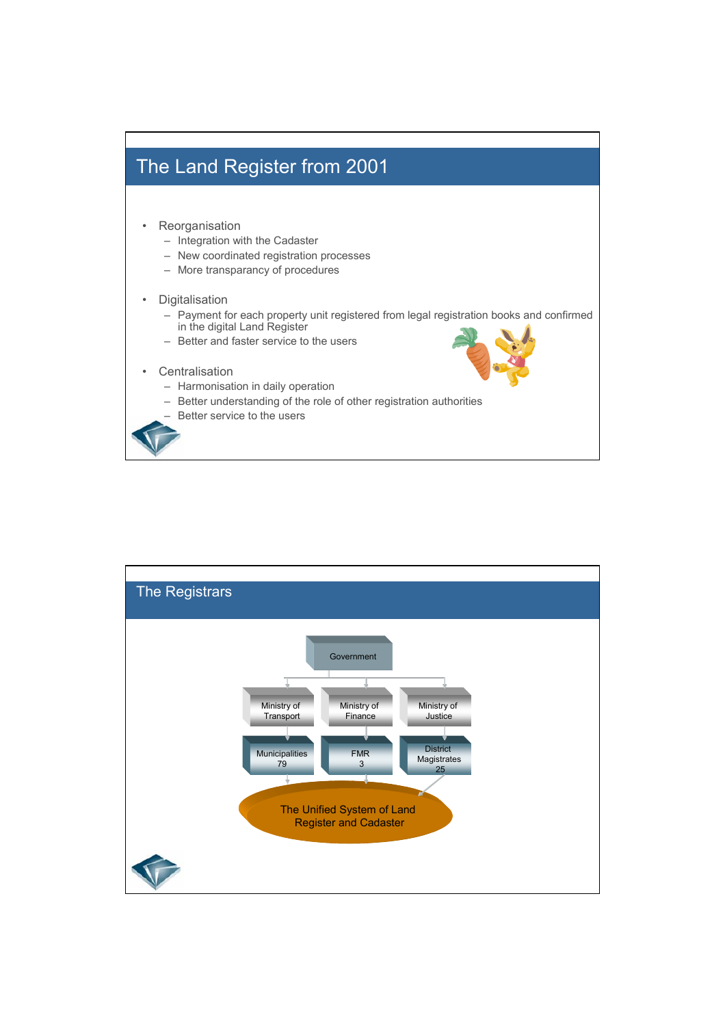

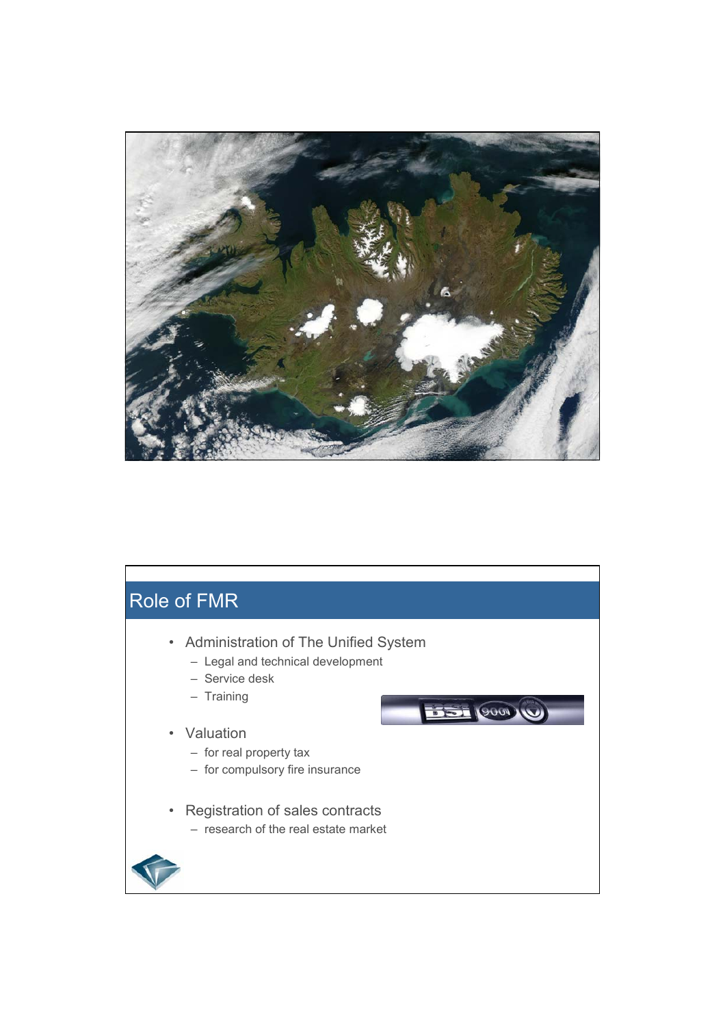

## Role of FMR • Administration of The Unified System – Legal and technical development – Service desk – Training U MOOD TELL • Valuation – for real property tax – for compulsory fire insurance • Registration of sales contracts – research of the real estate market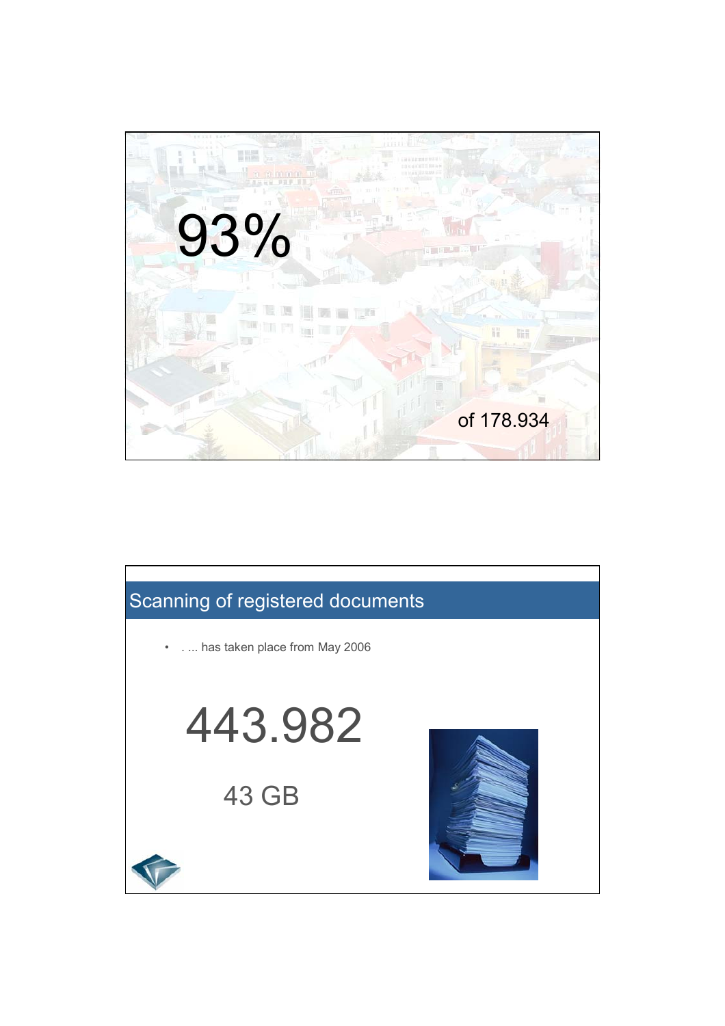

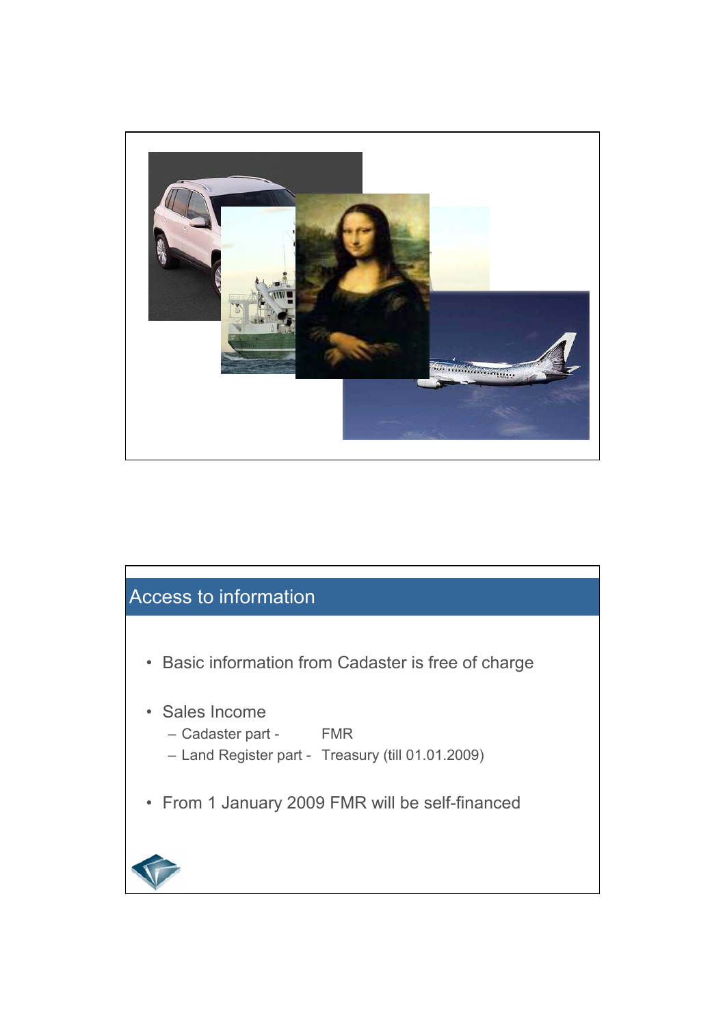

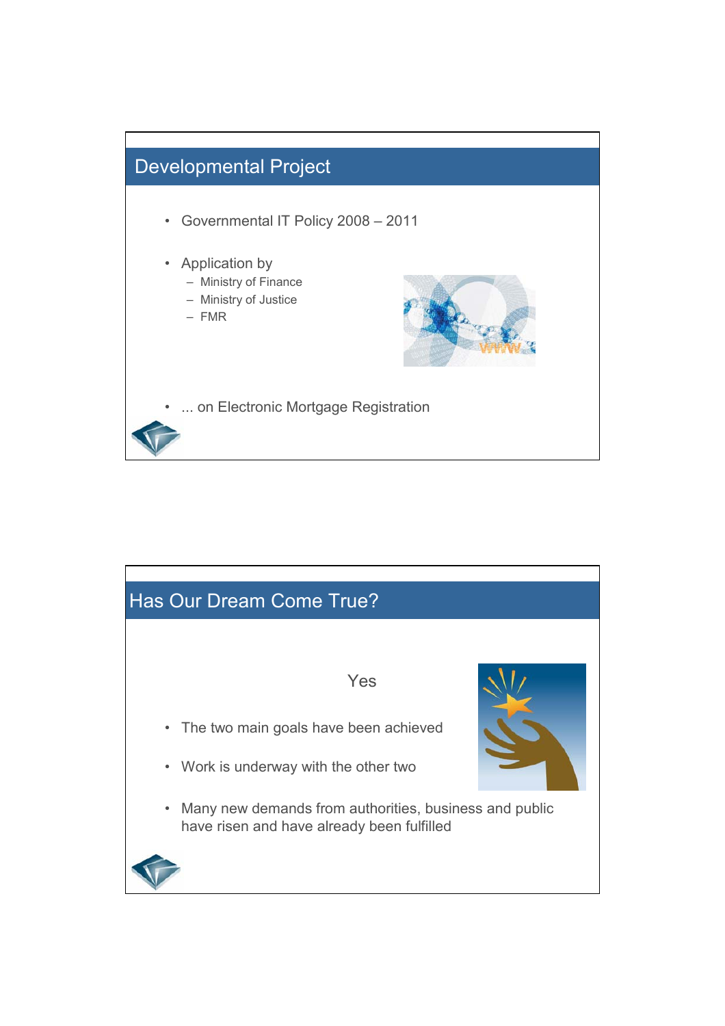